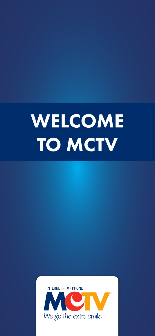# WELCOME TO MCTV

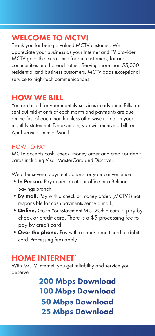# WELCOME TO MCTV!

Thank you for being a valued MCTV customer. We appreciate your business as your Internet and TV provider. MCTV goes the extra smile for our customers, for our communities and for each other. Serving more than 55,000 residential and business customers, MCTV adds exceptional service to high-tech communications.

# HOW WE BILL

You are billed for your monthly services in advance. Bills are sent out mid-month of each month and payments are due on the first of each month unless otherwise noted on your monthly statement. For example, you will receive a bill for April services in mid-March.

#### HOW TO PAY

MCTV accepts cash, check, money order and credit or debit cards including Visa, MasterCard and Discover.

We offer several payment options for your convenience:

- In Person. Pay in person at our office or a Belmont Savings branch.
- By mail. Pay with a check or money order. (MCTV is not responsible for cash payments sent via mail.)
- Online. Go to YourStatement.MCTVOhio.com to pay by check or credit card. There is a \$5 processing fee to pay by credit card.
- Over the phone. Pay with a check, credit card or debit card. Processing fees apply.

# HOME INTERNET\*

With MCTV Internet, you get reliability and service you deserve.

> 200 Mbps Download 100 Mbps Download 50 Mbps Download 25 Mbps Download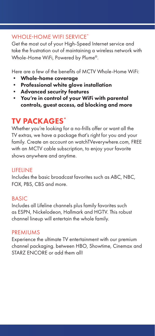#### WHOLE-HOME WIFI SERVICE\*

Get the most out of your High-Speed Internet service and take the frustration out of maintaining a wireless network with Whole-Home WiFi, Powered by Plume®.

Here are a few of the benefits of MCTV Whole-Home WiFi:

- Whole-home coverage
- Professional white glove installation
- Advanced security features
- You're in control of your WiFi with parental controls, guest access, ad blocking and more

# TV PACKAGES\*

Whether you're looking for a no-frills offer or want all the TV extras, we have a package that's right for you and your family. Create an account on watchTVeverywhere.com, FREE with an MCTV cable subscription, to enjoy your favorite shows anywhere and anytime.

#### LIFELINE

Includes the basic broadcast favorites such as ABC, NBC, FOX, PBS, CBS and more.

#### BASIC

Includes all Lifeline channels plus family favorites such as ESPN, Nickelodeon, Hallmark and HGTV. This robust channel lineup will entertain the whole family.

#### PREMIUMS

Experience the ultimate TV entertainment with our premium channel packaging. between HBO, Showtime, Cinemax and STARZ ENCORE or add them all!